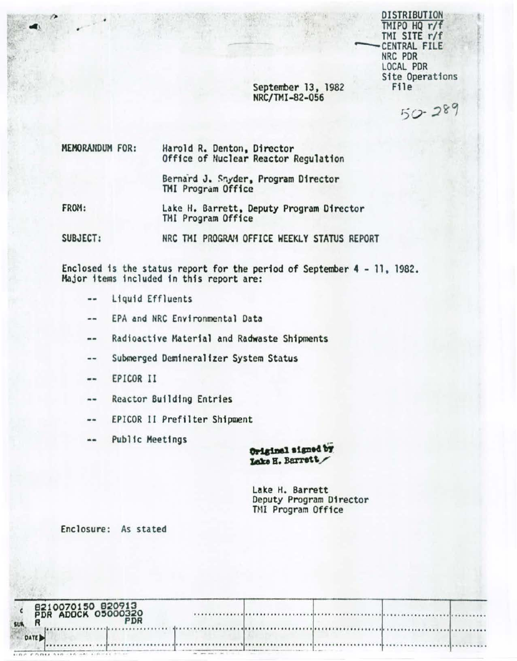**DISTRIBUTION** TMIPO HQ r/f TMI SITE r/f CENTRAL FILE NRC PDR LOCAL PDR Site Operations File

September 13, 1982 NRC/TMI-82-056

 $50 - 289$ 

MEMORANDUM FOR: Harold R. Denton, Director Office of Nuclear Reactor Regulation

> Bernard J. Snyder, Program Director TMI Program Office

FROM: Lake H. Barrett, Deputy Program Director TMI Program Office

SUBJECT: NRC TMI PROGRAM OFFICE WEEKLY STATUS REPORT

Enclosed is the status report for the period of September 4 - 11, 1982. Major items included in this report are:

- --Liquid Effluents
- EPA and NRC Environmental Data --
- Radioactive Material and Radwaste Shipments ..
- Submerged Demineralizer System Status  $-1$
- EPICOR II  $\frac{1}{2}$
- **Reactor Building Entries** --
- EPICOR II Prefilter Shipment --
- Public Meetings

Original signed by Lake H. Barrett

Lake H. Barrett Deputy Program Director TMI Program Office

Enclosure: As stated

| 8210070150 820913<br>PDR ADOCK 05000320<br>PDR<br><b>SUR</b> |  |   |
|--------------------------------------------------------------|--|---|
| DATE <sub>3</sub>                                            |  | . |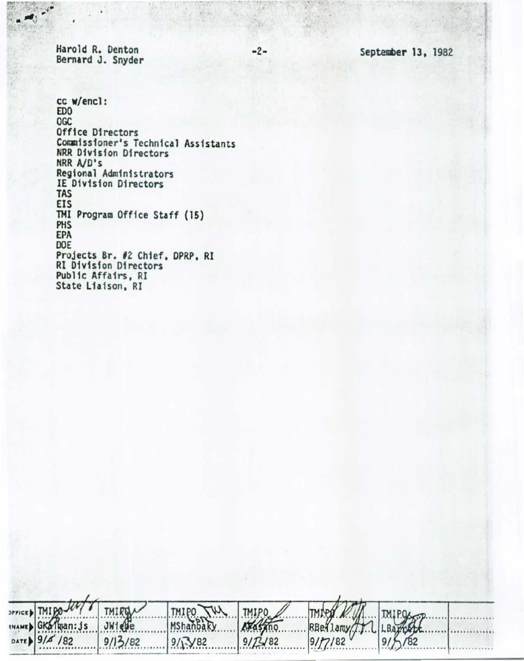Harold R. Denton Bernard J. Snyder

TMIDO-

INAMED GKalman: js

DATE 9/4 /82

**OFFICE** 

-2- September 13, 1982

cc w/encl: EDO OGC Office Directors Comm1ss1oner•s Technical Assistants NRR 01v1s1on Directors NRR AJO•s Regional Administrators IE 01v1sion Directors TAS EIS THI Program Office Staff (15) PHS EPA DOE Projects Br. *12* Chief, OPRP, RI RI Division Directors Pub11c Affairs, RI State Liaison, RI

TMIPO

MShanbaky

 $9/\sqrt{3}/82$ 

**TMIPO** 

 $9/2482$ 

no.

RBe 1.amy

 $9/7/82$ 

**TMIRD** 

 $JW1eBe$ 

 $9/13/82$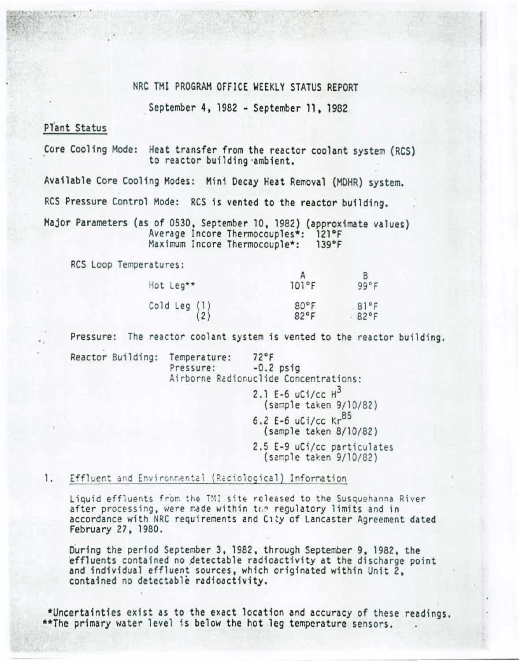## NRC TMI PROGRAM OFFICE WEEKLY STATUS REPORT

. September 4, 1982 - September 11. 1982

# Plant Status

Core Cooling Mode: Heat transfer from the reactor coolant system (RCS) to reactor building ·ambient.

Available Core Cooling Modes: Mini Decay Heat Removal (MOHR) system.

RCS Pressure Control Mode: RCS is vented to the reactor building.

Major Parameters (as of 0530 , September 10, 1982) (approximate values) Average Incore Thermocouples\*: 121°F<br>Maximum Incore Thermocouple\*: 139°F Maximum Incore Thermocouple\*:

RCS Loop Temperatures:

|                                                                                                                                                                                                                                                                                                                                 |       | B    |
|---------------------------------------------------------------------------------------------------------------------------------------------------------------------------------------------------------------------------------------------------------------------------------------------------------------------------------|-------|------|
| Hot Leg**                                                                                                                                                                                                                                                                                                                       | 101°F | 99°F |
|                                                                                                                                                                                                                                                                                                                                 | 80°F  | 81°F |
| $\begin{pmatrix} 0 & 1 & 1 \\ 2 & 0 & 0 \\ 0 & 0 & 0 \\ 0 & 0 & 0 \\ 0 & 0 & 0 \\ 0 & 0 & 0 \\ 0 & 0 & 0 & 0 \\ 0 & 0 & 0 & 0 \\ 0 & 0 & 0 & 0 \\ 0 & 0 & 0 & 0 \\ 0 & 0 & 0 & 0 \\ 0 & 0 & 0 & 0 & 0 \\ 0 & 0 & 0 & 0 & 0 \\ 0 & 0 & 0 & 0 & 0 \\ 0 & 0 & 0 & 0 & 0 & 0 \\ 0 & 0 & 0 & 0 & 0 & 0 \\ 0 & 0 & 0 & 0 & 0 & 0 \\ $ | 82°F  | 82°F |

Pressure: The reactor coolant system is vented to the reactor building.

Reactor Building: Temperature: 72°F<br>Pressure: -0.2 psig Airborne Radionuclide Concentrations:

> 2.1 E-6  $uCi/cc$   $H^3$ (sample ta ken 9/10/82) 6.2 E-6  $uCi/cc$  Kr<sup>85</sup>

- (sample taken 8/10/82)
- 2.5 E-9 uCi/cc particulates (sample taken 9/10/82)

#### 1. Effluent and Environmental (Raciological) Information

Liquid effluents from the TMI site released to the Susquehanna River after processing, were made within the regulatory limits and in accordance with NRC requirements and C1ty of Lancaster Agreement dated February 27, 1980.

During the period September 3, 1982, through September 9, 1982, the effluents contained no detectable radioactivity at the discharge point and individual effluent sources, which originated within Unit 2, contained no detectable radioactivity.

\*Uncertainties exist as to the exact location and accuracy of these readings. \*\*The primary water level is below the hot leg temperature sensors.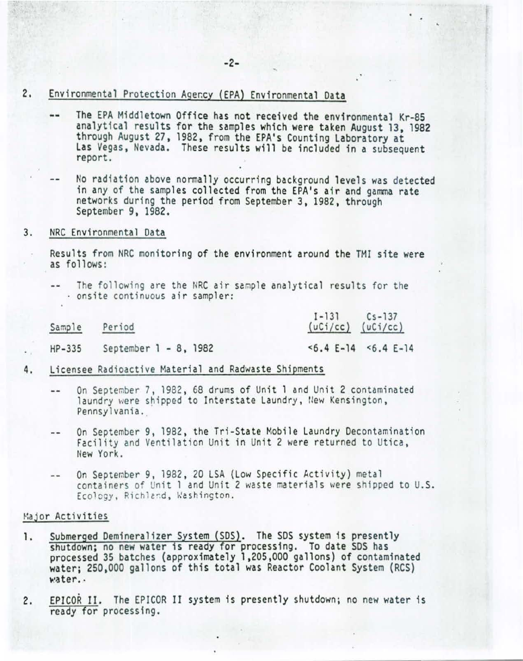- 2. Environmental Protection Ager.cy (EPA) Environmental Data
	- The EPA Middletown Office has not received the environmental Kr-85  $-1$ analytical results for the samples which were taken August 13, 1982 through August 27, 1982, from the EPA's Counting Laboratory at Las Vegas, Nevada. These results will be included in a subsequent report.
	- No radiation above normally occurring background levels was detected in any of the samples collected from the EPA's air and gamma rate networks during the period from September 3, 1982, through<br>September 9, 1982.

#### 3. NRC Environmental Data

Results from NRC monitoring of the environment around the TMJ site were as follows:

-- The following are the NRC air sample analytical results for the  $\cdot$  onsite continuous air sampler:

Sample Period

I-131 (uCi/cc) (uCi/CC) Cs-137

..

HP-335 September 1 - 8, 1982

<6.4 E-14 <6. 4 E-14

- 4. Licensee Radioactive Material and Radwaste Shipments
	- On September 7, 1982, 68 drums of Unit 1 and Unit 2 contaminated  $-1$ laundry were shipped to Interstate Laundry, New Kensington, Pennsylvania.
	- On September 9, 1982, the Tri-State Mobile Laundry Decontamination  $-1$ Facility and Ventilation Unit in Unit 2 were returned to Utica, New York.
	- On September 9, 1982 , 20 LSA (Low Specific Activity} metal -containers of Unit 1 and Unit 2 waste materials were shipped to U.S. Ecology, Richland, Washington.

### Major Activities

- 1. Submerged Demineralizer System (SDS). The SDS system is presently<br>shutdown; no new water is ready for processing. To date SDS has processed 35 batches (approximately 1,205,000 gallons) of contaminated water; 250,000 gallons of this total was Reactor Coolant System (RCS) water..
- 2. EPJCOR II. The EPJCOR II system is presently shutdown; no new water is ready for processing.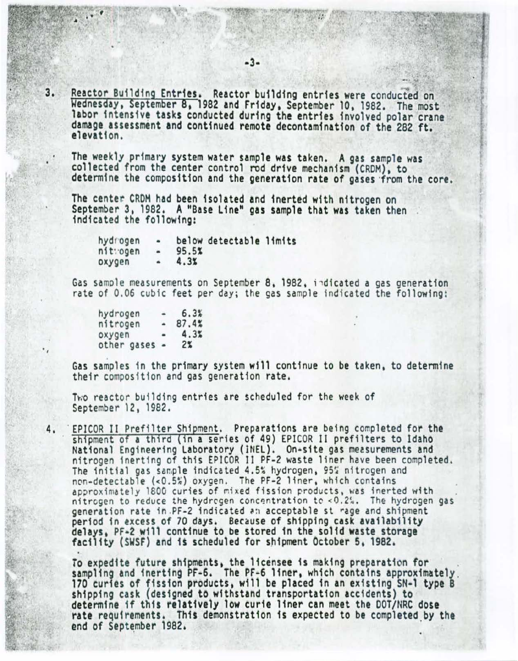$3.$ Reactor Building Entries. Reactor building entries were conducted on Wednesday, September 8, 1982 and Friday, September 10, 1982. The most labor intensive tasks conducted during the entries involved polar crane damage assessment and continued remote decontamination of the 282 ft. elevation.

The weekly primary system water sample was taken. A gas sample was collected from the center control rod drive mechanism (CRDM), to determine the composition and the generation rate of gases from the core.

The center CRDM had been isolated and inerted with nitrogen on September 3. 1982. A "Base Line" gas sample that was taken then indicated the following:

hydrogen<br>nit:ogen below detectable limits 9S .SS  $\blacksquare$  $4.3<sub>1</sub>$ oxygen

Gas sample measurements on September 8, 1982, indicated a gas generation rate of 0.06 cubic feet per day; the gas sample indicated the following:

| hydrogen    | $\blacksquare$          | 6.3%   |
|-------------|-------------------------|--------|
| nitrogen    | ٠                       | 87.4%  |
| oxygen      | $\qquad \qquad \bullet$ | $4.3*$ |
| other gases | $\bullet$               | $2\%$  |

Gas samples in the primary system will continue to be taken. to determine their composition and gas generation rate.

Two reactor building entries are scheduled for the week of September 12. 1982.

4. EPICOR II Prefilter Shipment. Preparations are being completed for the shipment of a third (in a series of 49) EPICOR II prefilters to Idaho National Engineering Laboratory (INEL). On-site gas measurements and nitrogen inerting of this EPICOR II PF-2 waste liner have been completed.<br>The initial gas sample indicated 4.5% hydrogen. 95% nitrogen and non-detectable (<0.5%) oxygen. The PF-2 liner, which contains approximately 1800 curies of mixed fission products, was inerted with nitrogen to reduce the hydrogen concentration to <0.2%. The hydrogen gas generation rate in .PF-2 indicated an acceptable st rage and shipment period in excess of 70 days. Because of shipping cask availability delays. PF·2 will continue to be stored in the solid waste storage facility (SWSF) and H scheduled for s.hipment Octobers. 1982.

To expedite future shipments, the licensee is making preparation for<br>sampling and inerting PF-6. The PF-6 liner, which contains approximately<br>170 curies of fission products, will be placed in an existing SN-1 type B shipping cask (designed to withstand transportation accidents) to determine if this relatively low curie liner can meet the DOT/NRC dose rate requirements. This demonstration is expected to be completed by the end of September 1982.